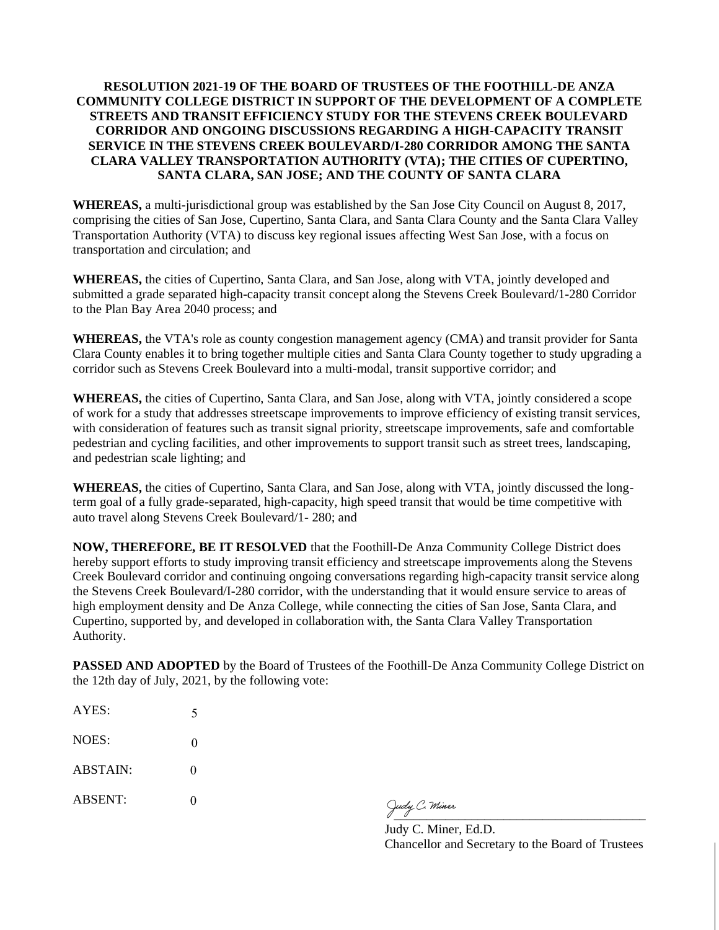## **RESOLUTION 2021-19 OF THE BOARD OF TRUSTEES OF THE FOOTHILL-DE ANZA COMMUNITY COLLEGE DISTRICT IN SUPPORT OF THE DEVELOPMENT OF A COMPLETE STREETS AND TRANSIT EFFICIENCY STUDY FOR THE STEVENS CREEK BOULEVARD CORRIDOR AND ONGOING DISCUSSIONS REGARDING A HIGH-CAPACITY TRANSIT SERVICE IN THE STEVENS CREEK BOULEVARD/I-280 CORRIDOR AMONG THE SANTA CLARA VALLEY TRANSPORTATION AUTHORITY (VTA); THE CITIES OF CUPERTINO, SANTA CLARA, SAN JOSE; AND THE COUNTY OF SANTA CLARA**

**WHEREAS,** a multi-jurisdictional group was established by the San Jose City Council on August 8, 2017, comprising the cities of San Jose, Cupertino, Santa Clara, and Santa Clara County and the Santa Clara Valley Transportation Authority (VTA) to discuss key regional issues affecting West San Jose, with a focus on transportation and circulation; and

**WHEREAS,** the cities of Cupertino, Santa Clara, and San Jose, along with VTA, jointly developed and submitted a grade separated high-capacity transit concept along the Stevens Creek Boulevard/1-280 Corridor to the Plan Bay Area 2040 process; and

**WHEREAS,** the VTA's role as county congestion management agency (CMA) and transit provider for Santa Clara County enables it to bring together multiple cities and Santa Clara County together to study upgrading a corridor such as Stevens Creek Boulevard into a multi-modal, transit supportive corridor; and

**WHEREAS,** the cities of Cupertino, Santa Clara, and San Jose, along with VTA, jointly considered a scope of work for a study that addresses streetscape improvements to improve efficiency of existing transit services, with consideration of features such as transit signal priority, streetscape improvements, safe and comfortable pedestrian and cycling facilities, and other improvements to support transit such as street trees, landscaping, and pedestrian scale lighting; and

**WHEREAS,** the cities of Cupertino, Santa Clara, and San Jose, along with VTA, jointly discussed the longterm goal of a fully grade-separated, high-capacity, high speed transit that would be time competitive with auto travel along Stevens Creek Boulevard/1- 280; and

**NOW, THEREFORE, BE IT RESOLVED** that the Foothill-De Anza Community College District does hereby support efforts to study improving transit efficiency and streetscape improvements along the Stevens Creek Boulevard corridor and continuing ongoing conversations regarding high-capacity transit service along the Stevens Creek Boulevard/I-280 corridor, with the understanding that it would ensure service to areas of high employment density and De Anza College, while connecting the cities of San Jose, Santa Clara, and Cupertino, supported by, and developed in collaboration with, the Santa Clara Valley Transportation Authority.

**PASSED AND ADOPTED** by the Board of Trustees of the Foothill-De Anza Community College District on the 12th day of July, 2021, by the following vote:

| AYES:          | 5 |
|----------------|---|
| NOES:          | 0 |
| ABSTAIN:       | 0 |
| <b>ABSENT:</b> | 0 |

Judy C. Miner

Judy C. Miner, Ed.D. Chancellor and Secretary to the Board of Trustees